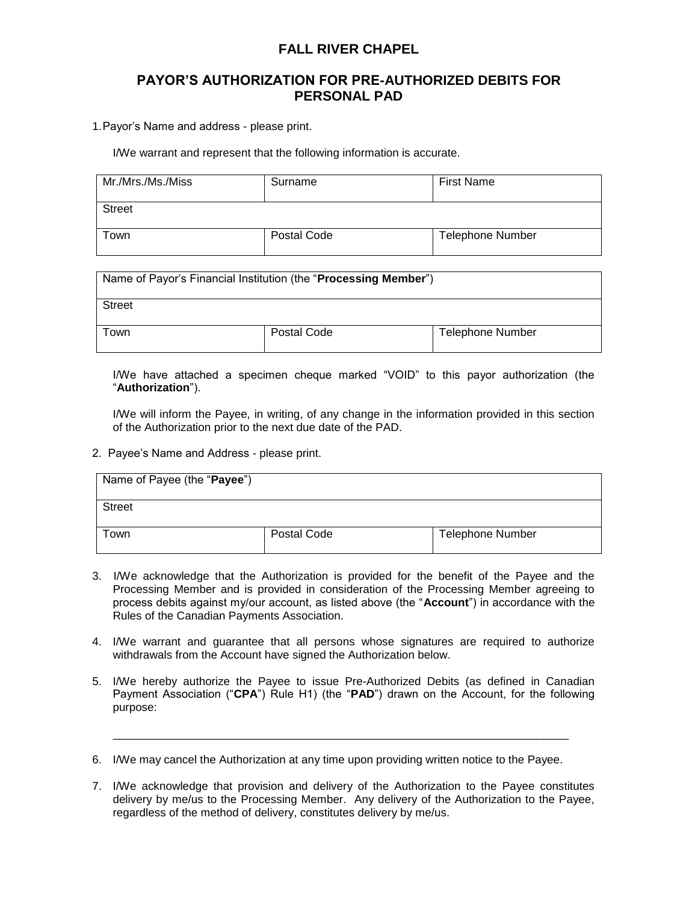## **FALL RIVER CHAPEL**

## **PAYOR'S AUTHORIZATION FOR PRE-AUTHORIZED DEBITS FOR PERSONAL PAD**

1.Payor's Name and address - please print.

I/We warrant and represent that the following information is accurate.

| Mr./Mrs./Ms./Miss | Surname     | <b>First Name</b>       |
|-------------------|-------------|-------------------------|
| <b>Street</b>     |             |                         |
| Γown              | Postal Code | <b>Telephone Number</b> |

| Name of Payor's Financial Institution (the "Processing Member") |             |                         |  |  |
|-----------------------------------------------------------------|-------------|-------------------------|--|--|
| <b>Street</b>                                                   |             |                         |  |  |
| <b>Town</b>                                                     | Postal Code | <b>Telephone Number</b> |  |  |

I/We have attached a specimen cheque marked "VOID" to this payor authorization (the "**Authorization**").

I/We will inform the Payee, in writing, of any change in the information provided in this section of the Authorization prior to the next due date of the PAD.

2. Payee's Name and Address - please print.

| Name of Payee (the "Payee") |             |                         |
|-----------------------------|-------------|-------------------------|
| <b>Street</b>               |             |                         |
| l own                       | Postal Code | <b>Telephone Number</b> |

- 3. I/We acknowledge that the Authorization is provided for the benefit of the Payee and the Processing Member and is provided in consideration of the Processing Member agreeing to process debits against my/our account, as listed above (the "**Account**") in accordance with the Rules of the Canadian Payments Association.
- 4. I/We warrant and guarantee that all persons whose signatures are required to authorize withdrawals from the Account have signed the Authorization below.
- 5. I/We hereby authorize the Payee to issue Pre-Authorized Debits (as defined in Canadian Payment Association ("**CPA**") Rule H1) (the "**PAD**") drawn on the Account, for the following purpose:

\_\_\_\_\_\_\_\_\_\_\_\_\_\_\_\_\_\_\_\_\_\_\_\_\_\_\_\_\_\_\_\_\_\_\_\_\_\_\_\_\_\_\_\_\_\_\_\_\_\_\_\_\_\_\_\_\_\_\_\_\_\_\_\_\_\_\_\_\_\_\_\_

6. I/We may cancel the Authorization at any time upon providing written notice to the Payee.

7. I/We acknowledge that provision and delivery of the Authorization to the Payee constitutes delivery by me/us to the Processing Member. Any delivery of the Authorization to the Payee, regardless of the method of delivery, constitutes delivery by me/us.